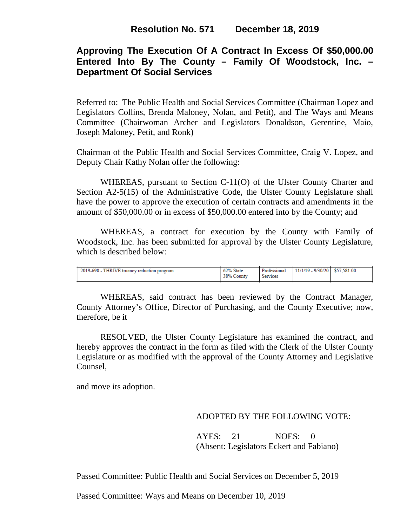## **Approving The Execution Of A Contract In Excess Of \$50,000.00 Entered Into By The County – Family Of Woodstock, Inc. – Department Of Social Services**

Referred to: The Public Health and Social Services Committee (Chairman Lopez and Legislators Collins, Brenda Maloney, Nolan, and Petit), and The Ways and Means Committee (Chairwoman Archer and Legislators Donaldson, Gerentine, Maio, Joseph Maloney, Petit, and Ronk)

Chairman of the Public Health and Social Services Committee, Craig V. Lopez, and Deputy Chair Kathy Nolan offer the following:

WHEREAS, pursuant to Section C-11(O) of the Ulster County Charter and Section A2-5(15) of the Administrative Code, the Ulster County Legislature shall have the power to approve the execution of certain contracts and amendments in the amount of \$50,000.00 or in excess of \$50,000.00 entered into by the County; and

WHEREAS, a contract for execution by the County with Family of Woodstock, Inc. has been submitted for approval by the Ulster County Legislature, which is described below:

| 2019-690 - THRIVE truancy reduction program | 62% State<br>38% County | Professional<br>Services | 11/1/19 - 9/30/20 \$57,581.00 |  |
|---------------------------------------------|-------------------------|--------------------------|-------------------------------|--|
|                                             |                         |                          |                               |  |

WHEREAS, said contract has been reviewed by the Contract Manager, County Attorney's Office, Director of Purchasing, and the County Executive; now, therefore, be it

RESOLVED, the Ulster County Legislature has examined the contract, and hereby approves the contract in the form as filed with the Clerk of the Ulster County Legislature or as modified with the approval of the County Attorney and Legislative Counsel,

and move its adoption.

### ADOPTED BY THE FOLLOWING VOTE:

AYES: 21 NOES: 0 (Absent: Legislators Eckert and Fabiano)

Passed Committee: Public Health and Social Services on December 5, 2019

Passed Committee: Ways and Means on December 10, 2019